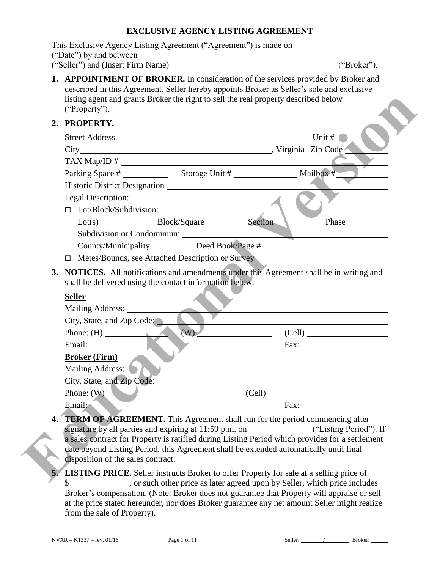### **EXCLUSIVE AGENCY LISTING AGREEMENT**

|               |                               | ("Seller") and (Insert Firm Name)                                                                                                                                                                                                                                     |                                                                                                                                                                                                                                      | ("Broker"). |  |
|---------------|-------------------------------|-----------------------------------------------------------------------------------------------------------------------------------------------------------------------------------------------------------------------------------------------------------------------|--------------------------------------------------------------------------------------------------------------------------------------------------------------------------------------------------------------------------------------|-------------|--|
| ("Property"). |                               | 1. APPOINTMENT OF BROKER. In consideration of the services provided by Broker and<br>described in this Agreement, Seller hereby appoints Broker as Seller's sole and exclusive<br>listing agent and grants Broker the right to sell the real property described below |                                                                                                                                                                                                                                      |             |  |
| 2. PROPERTY.  |                               |                                                                                                                                                                                                                                                                       |                                                                                                                                                                                                                                      |             |  |
|               |                               |                                                                                                                                                                                                                                                                       |                                                                                                                                                                                                                                      |             |  |
|               |                               |                                                                                                                                                                                                                                                                       |                                                                                                                                                                                                                                      |             |  |
|               |                               | $\text{TAX Map} / \text{ID} \#$                                                                                                                                                                                                                                       |                                                                                                                                                                                                                                      |             |  |
|               |                               |                                                                                                                                                                                                                                                                       |                                                                                                                                                                                                                                      |             |  |
|               |                               | Historic District Designation                                                                                                                                                                                                                                         |                                                                                                                                                                                                                                      |             |  |
|               | Legal Description:            |                                                                                                                                                                                                                                                                       |                                                                                                                                                                                                                                      |             |  |
|               | $\Box$ Lot/Block/Subdivision: |                                                                                                                                                                                                                                                                       |                                                                                                                                                                                                                                      |             |  |
|               |                               |                                                                                                                                                                                                                                                                       |                                                                                                                                                                                                                                      |             |  |
|               |                               |                                                                                                                                                                                                                                                                       |                                                                                                                                                                                                                                      |             |  |
|               |                               | Subdivision or Condominium                                                                                                                                                                                                                                            | <u> De la construcción de la construcción de la construcción de la construcción de la construcción de la construcción de la construcción de la construcción de la construcción de la construcción de la construcción de la const</u> |             |  |
|               |                               | County/Municipality __________ Deed Book/Page # ________________________________                                                                                                                                                                                      |                                                                                                                                                                                                                                      |             |  |
|               |                               | □ Metes/Bounds, see Attached Description or Survey                                                                                                                                                                                                                    |                                                                                                                                                                                                                                      |             |  |
|               |                               | 3. NOTICES. All notifications and amendments under this Agreement shall be in writing and                                                                                                                                                                             |                                                                                                                                                                                                                                      |             |  |
|               |                               | shall be delivered using the contact information below.                                                                                                                                                                                                               |                                                                                                                                                                                                                                      |             |  |
| <b>Seller</b> |                               |                                                                                                                                                                                                                                                                       |                                                                                                                                                                                                                                      |             |  |
|               | Mailing Address:              |                                                                                                                                                                                                                                                                       |                                                                                                                                                                                                                                      |             |  |
|               | City, State, and Zip Code:    |                                                                                                                                                                                                                                                                       |                                                                                                                                                                                                                                      |             |  |
|               | Phone: $(H)$                  | (W)                                                                                                                                                                                                                                                                   |                                                                                                                                                                                                                                      |             |  |
|               |                               |                                                                                                                                                                                                                                                                       |                                                                                                                                                                                                                                      |             |  |
|               | <b>Broker (Firm)</b>          |                                                                                                                                                                                                                                                                       |                                                                                                                                                                                                                                      |             |  |
|               | Mailing Address:              |                                                                                                                                                                                                                                                                       |                                                                                                                                                                                                                                      |             |  |
|               | City, State, and Zip Code:    |                                                                                                                                                                                                                                                                       |                                                                                                                                                                                                                                      |             |  |
| Phone: $(W)$  |                               |                                                                                                                                                                                                                                                                       | (Cell)                                                                                                                                                                                                                               |             |  |
| Email:        |                               | TERM OF AGREEMENT. This Agreement shall run for the period commencing after                                                                                                                                                                                           | Fax: The contract of the contract of the contract of the contract of the contract of the contract of the contract of the contract of the contract of the contract of the contract of the contract of the contract of the contr       |             |  |

**5. LISTING PRICE.** Seller instructs Broker to offer Property for sale at a selling price of \$ Broker's compensation. (Note: Broker does not guarantee that Property will appraise or sell at the price stated hereunder, nor does Broker guarantee any net amount Seller might realize from the sale of Property).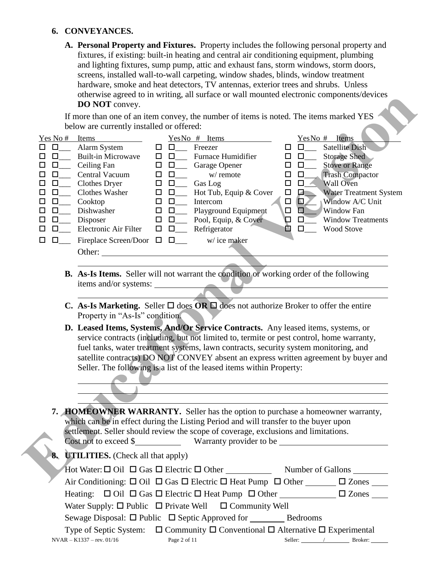#### **6. CONVEYANCES.**

**A. Personal Property and Fixtures.** Property includes the following personal property and fixtures, if existing: built-in heating and central air conditioning equipment, plumbing and lighting fixtures, sump pump, attic and exhaust fans, storm windows, storm doors, screens, installed wall-to-wall carpeting, window shades, blinds, window treatment hardware, smoke and heat detectors, TV antennas, exterior trees and shrubs. Unless otherwise agreed to in writing, all surface or wall mounted electronic components/devices **DO NOT** convey.

|                                                                                                                                              | otherwise agreed to in writing, an surface of wan mounted electronic components/devices<br><b>DO NOT</b> convey.                                                                                                                                                                                                                                                                                                                                                                                                                                                                                                                                                                                                                                                                                                                                                                                                                                                                                                                                         |
|----------------------------------------------------------------------------------------------------------------------------------------------|----------------------------------------------------------------------------------------------------------------------------------------------------------------------------------------------------------------------------------------------------------------------------------------------------------------------------------------------------------------------------------------------------------------------------------------------------------------------------------------------------------------------------------------------------------------------------------------------------------------------------------------------------------------------------------------------------------------------------------------------------------------------------------------------------------------------------------------------------------------------------------------------------------------------------------------------------------------------------------------------------------------------------------------------------------|
|                                                                                                                                              | If more than one of an item convey, the number of items is noted. The items marked YES                                                                                                                                                                                                                                                                                                                                                                                                                                                                                                                                                                                                                                                                                                                                                                                                                                                                                                                                                                   |
|                                                                                                                                              | below are currently installed or offered:                                                                                                                                                                                                                                                                                                                                                                                                                                                                                                                                                                                                                                                                                                                                                                                                                                                                                                                                                                                                                |
| Yes No #<br>$\Box$<br>□<br>0<br>□<br>□<br>0<br>□<br>0.<br>□<br>0.<br>$\Box$<br>□<br>$\Box$<br>□<br>$\Box$<br>ப<br>$\Box$<br>□<br>□<br>$\Box$ | YesNo#<br>Items<br>$YesNo$ # Items<br>Items<br>Alarm System<br>$\Box$<br><b>Satellite Dish</b><br>$\Box$<br>Freezer<br>$\Box$<br>□<br><b>Built-in Microwave</b><br>Furnace Humidifier<br><b>Storage Shed</b><br>$\Box$<br>$\Box$<br>$\Box$<br>□<br>Garage Opener<br><b>Stove or Range</b><br>Ceiling Fan<br>$\Box$<br>$\square$<br>$\Box$<br>□<br>Central Vacuum<br>w/remote<br><b>Trash Compactor</b><br>□<br>$\Box$<br>$\Box$<br>□<br>Clothes Dryer<br>Wall Oven<br>$\Box$<br>Gas Log<br>□<br>$\Box$<br>Hot Tub, Equip & Cover<br>Water Treatment System<br>Clothes Washer<br>$\square$<br>$\Box$<br>□<br><b>Port</b><br>$\Box$<br>Window A/C Unit<br>$\Box$<br>$\Box$<br>Intercom<br>$\Box$<br>Cooktop<br>$\Box$<br>Playground Equipment<br>$\Box$<br>Dishwasher<br>$\Box$<br>$\Box$<br>Window Fan<br>P<br><b>Window Treatments</b><br>$\Box$<br>Pool, Equip, & Cover<br>$\Box$<br>Disposer<br>$\Box$<br>Ò<br>Electronic Air Filter<br>Refrigerator<br>$\Box$<br>Wood Stove<br>$\Box$<br>$\Box$<br>w/ice maker<br>Fireplace Screen/Door $\Box$ $\Box$ |
|                                                                                                                                              | Other: when the contract of the contract of the contract of the contract of the contract of the contract of the contract of the contract of the contract of the contract of the contract of the contract of the contract of th                                                                                                                                                                                                                                                                                                                                                                                                                                                                                                                                                                                                                                                                                                                                                                                                                           |
|                                                                                                                                              | B. As-Is Items. Seller will not warrant the condition or working order of the following<br>items and/or systems:                                                                                                                                                                                                                                                                                                                                                                                                                                                                                                                                                                                                                                                                                                                                                                                                                                                                                                                                         |
|                                                                                                                                              | C. As-Is Marketing. Seller $\Box$ does OR $\Box$ does not authorize Broker to offer the entire<br>Property in "As-Is" condition.                                                                                                                                                                                                                                                                                                                                                                                                                                                                                                                                                                                                                                                                                                                                                                                                                                                                                                                         |
|                                                                                                                                              | D. Leased Items, Systems, And/Or Service Contracts. Any leased items, systems, or<br>service contracts (including, but not limited to, termite or pest control, home warranty,<br>fuel tanks, water treatment systems, lawn contracts, security system monitoring, and<br>satellite contracts) DO NOT CONVEY absent an express written agreement by buyer and<br>Seller. The following is a list of the leased items within Property:                                                                                                                                                                                                                                                                                                                                                                                                                                                                                                                                                                                                                    |
|                                                                                                                                              | <b>7. HOMEOWNER WARRANTY.</b> Seller has the option to purchase a homeowner warranty,<br>which can be in effect during the Listing Period and will transfer to the buyer upon<br>settlement. Seller should review the scope of coverage, exclusions and limitations.                                                                                                                                                                                                                                                                                                                                                                                                                                                                                                                                                                                                                                                                                                                                                                                     |
|                                                                                                                                              | 8. UTILITIES. (Check all that apply)                                                                                                                                                                                                                                                                                                                                                                                                                                                                                                                                                                                                                                                                                                                                                                                                                                                                                                                                                                                                                     |
|                                                                                                                                              | $\forall$ Hot Water: $\Box$ Oil $\Box$ Gas $\Box$ Electric $\Box$ Other Number of Gallons<br>$\overline{\text{Air Condition}}$ $\Box$ $\overline{\text{Oil}}$ $\Box$ $\overline{\text{Gas}}$ $\Box$ Flectric $\Box$ Heat Pump $\Box$ Other $\Box$ Zones                                                                                                                                                                                                                                                                                                                                                                                                                                                                                                                                                                                                                                                                                                                                                                                                  |

- **B. As-Is Items.** Seller will not warrant the condition or working order of the following items and/or systems:
- **C. As-Is Marketing.** Seller  $\Box$  does **OR**  $\Box$  does not authorize Broker to offer the entire Property in "As-Is" condition.
- **D. Leased Items, Systems, And/Or Service Contracts.** Any leased items, systems, or service contracts (including, but not limited to, termite or pest control, home warranty, fuel tanks, water treatment systems, lawn contracts, security system monitoring, and satellite contracts) DO NOT CONVEY absent an express written agreement by buyer and Seller. The following is a list of the leased items within Property:



| $\lambda$ . <b>Trompowner WARRANIII.</b> Seller has the option to purchase a homeowner warranty,<br>which can be in effect during the Listing Period and will transfer to the buyer upon<br>settlement. Seller should review the scope of coverage, exclusions and limitations. |         |
|---------------------------------------------------------------------------------------------------------------------------------------------------------------------------------------------------------------------------------------------------------------------------------|---------|
| <b>8. UTILITIES.</b> (Check all that apply)                                                                                                                                                                                                                                     |         |
|                                                                                                                                                                                                                                                                                 |         |
|                                                                                                                                                                                                                                                                                 |         |
| Air Conditioning: $\Box$ Oil $\Box$ Gas $\Box$ Electric $\Box$ Heat Pump $\Box$ Other $\Box$ $\Box$ Zones $\Box$                                                                                                                                                                |         |
| Heating: $\Box$ Oil $\Box$ Gas $\Box$ Electric $\Box$ Heat Pump $\Box$ Other $\Box$ $\Box$ Zones                                                                                                                                                                                |         |
| Water Supply: $\Box$ Public $\Box$ Private Well $\Box$ Community Well                                                                                                                                                                                                           |         |
|                                                                                                                                                                                                                                                                                 |         |
| Type of Septic System: $\Box$ Community $\Box$ Conventional $\Box$ Alternative $\Box$ Experimental                                                                                                                                                                              |         |
| $NVAR - K1337 - rev. 01/16$ Page 2 of 11<br>Seller: /                                                                                                                                                                                                                           | Broker: |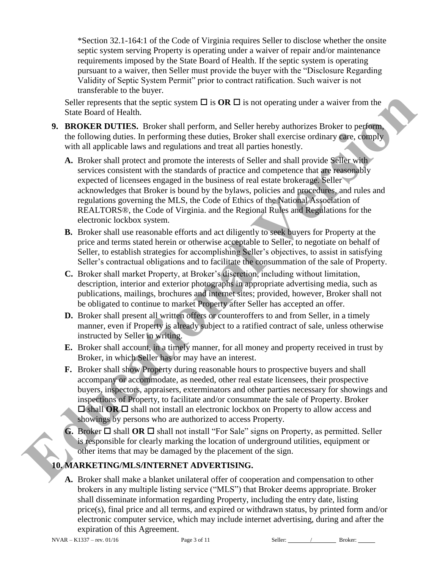\*Section 32.1-164:1 of the Code of Virginia requires Seller to disclose whether the onsite septic system serving Property is operating under a waiver of repair and/or maintenance requirements imposed by the State Board of Health. If the septic system is operating pursuant to a waiver, then Seller must provide the buyer with the "Disclosure Regarding Validity of Septic System Permit" prior to contract ratification. Such waiver is not transferable to the buyer.

Seller represents that the septic system  $\Box$  is **OR**  $\Box$  is not operating under a waiver from the State Board of Health.

- **9. BROKER DUTIES.** Broker shall perform, and Seller hereby authorizes Broker to perform, the following duties. In performing these duties, Broker shall exercise ordinary care, comply with all applicable laws and regulations and treat all parties honestly.
- **A.** Broker shall protect and promote the interests of Seller and shall provide Seller with services consistent with the standards of practice and competence that are reasonably expected of licensees engaged in the business of real estate brokerage. Seller acknowledges that Broker is bound by the bylaws, policies and procedures, and rules and regulations governing the MLS, the Code of Ethics of the National Association of REALTORS®, the Code of Virginia. and the Regional Rules and Regulations for the electronic lockbox system. Seller represents that the septic system  $\square$  is **OR**  $\square$  is not operating under a waiver from the State represents that the septic system  $\square$  is **EDUCATES**. Brooker shall perform and Seller hereby authorizes Brooker to
	- **B.** Broker shall use reasonable efforts and act diligently to seek buyers for Property at the price and terms stated herein or otherwise acceptable to Seller, to negotiate on behalf of Seller, to establish strategies for accomplishing Seller's objectives, to assist in satisfying Seller's contractual obligations and to facilitate the consummation of the sale of Property.
	- **C.** Broker shall market Property, at Broker's discretion, including without limitation, description, interior and exterior photographs in appropriate advertising media, such as publications, mailings, brochures and internet sites; provided, however, Broker shall not be obligated to continue to market Property after Seller has accepted an offer.
	- **D.** Broker shall present all written offers or counteroffers to and from Seller, in a timely manner, even if Property is already subject to a ratified contract of sale, unless otherwise instructed by Seller in writing.
	- **E.** Broker shall account, in a timely manner, for all money and property received in trust by Broker, in which Seller has or may have an interest.
	- **F.** Broker shall show Property during reasonable hours to prospective buyers and shall accompany or accommodate, as needed, other real estate licensees, their prospective buyers, inspectors, appraisers, exterminators and other parties necessary for showings and inspections of Property, to facilitate and/or consummate the sale of Property. Broker  $\Box$  shall **OR**  $\Box$  shall not install an electronic lockbox on Property to allow access and showings by persons who are authorized to access Property.
	- **G.** Broker  $\Box$  shall **OR**  $\Box$  shall not install "For Sale" signs on Property, as permitted. Seller is responsible for clearly marking the location of underground utilities, equipment or other items that may be damaged by the placement of the sign.

# **10. MARKETING/MLS/INTERNET ADVERTISING.**

**A.** Broker shall make a blanket unilateral offer of cooperation and compensation to other brokers in any multiple listing service ("MLS") that Broker deems appropriate. Broker shall disseminate information regarding Property, including the entry date, listing price(s), final price and all terms, and expired or withdrawn status, by printed form and/or electronic computer service, which may include internet advertising, during and after the expiration of this Agreement.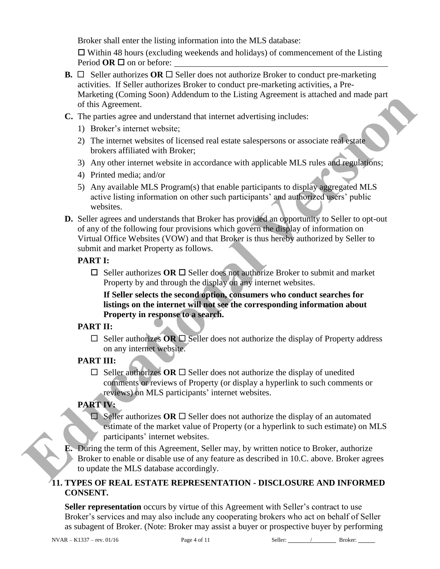Broker shall enter the listing information into the MLS database:

 $\Box$  Within 48 hours (excluding weekends and holidays) of commencement of the Listing Period  $OR \square$  on or before:

- **B.**  $\Box$  Seller authorizes **OR**  $\Box$  Seller does not authorize Broker to conduct pre-marketing activities. If Seller authorizes Broker to conduct pre-marketing activities, a Pre-Marketing (Coming Soon) Addendum to the Listing Agreement is attached and made part of this Agreement.
- **C.** The parties agree and understand that internet advertising includes:
	- 1) Broker's internet website;
	- 2) The internet websites of licensed real estate salespersons or associate real estate brokers affiliated with Broker;
	- 3) Any other internet website in accordance with applicable MLS rules and regulations;
	- 4) Printed media; and/or
	- 5) Any available MLS Program(s) that enable participants to display aggregated MLS active listing information on other such participants' and authorized users' public websites.
- **D.** Seller agrees and understands that Broker has provided an opportunity to Seller to opt-out of any of the following four provisions which govern the display of information on Virtual Office Websites (VOW) and that Broker is thus hereby authorized by Seller to submit and market Property as follows. Washingtonial and the case of the state of the state of the state of the particles.<br> **EDUCATE PROPERTIES** (The particle of the state of the state of the state of the state of the state of the state of the state of the stat

# **PART I:**

 $\Box$  Seller authorizes **OR**  $\Box$  Seller does not authorize Broker to submit and market Property by and through the display on any internet websites.

### **If Seller selects the second option, consumers who conduct searches for listings on the internet will not see the corresponding information about Property in response to a search.**

# **PART II:**

 $\Box$  Seller authorizes OR  $\Box$  Seller does not authorize the display of Property address on any internet website.

# **PART III:**

 $\Box$  Seller authorizes OR  $\Box$  Seller does not authorize the display of unedited comments or reviews of Property (or display a hyperlink to such comments or reviews) on MLS participants' internet websites.

# **PART IV:**

- $\Box$  Seller authorizes OR  $\Box$  Seller does not authorize the display of an automated estimate of the market value of Property (or a hyperlink to such estimate) on MLS participants' internet websites.
- **E.** During the term of this Agreement, Seller may, by written notice to Broker, authorize Broker to enable or disable use of any feature as described in 10.C. above. Broker agrees to update the MLS database accordingly.

# **11. TYPES OF REAL ESTATE REPRESENTATION - DISCLOSURE AND INFORMED CONSENT.**

**Seller representation** occurs by virtue of this Agreement with Seller's contract to use Broker's services and may also include any cooperating brokers who act on behalf of Seller as subagent of Broker. (Note: Broker may assist a buyer or prospective buyer by performing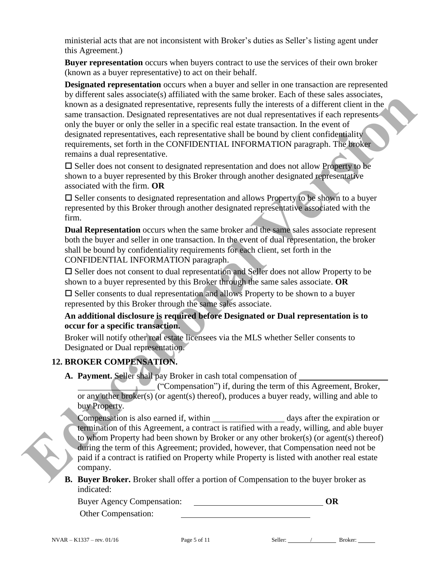ministerial acts that are not inconsistent with Broker's duties as Seller's listing agent under this Agreement.)

**Buyer representation** occurs when buyers contract to use the services of their own broker (known as a buyer representative) to act on their behalf.

**Designated representation** occurs when a buyer and seller in one transaction are represented by different sales associate(s) affiliated with the same broker. Each of these sales associates, known as a designated representative, represents fully the interests of a different client in the same transaction. Designated representatives are not dual representatives if each represents only the buyer or only the seller in a specific real estate transaction. In the event of designated representatives, each representative shall be bound by client confidentiality requirements, set forth in the CONFIDENTIAL INFORMATION paragraph. The broker remains a dual representative. Formulation same transmission show the same transmission control and some transmission and substitute the same transmission of the same transmission of the same transmission of the same transmission of the same transmissio

 $\square$  Seller does not consent to designated representation and does not allow Property to be shown to a buyer represented by this Broker through another designated representative associated with the firm. **OR**

 $\square$  Seller consents to designated representation and allows Property to be shown to a buyer represented by this Broker through another designated representative associated with the firm.

**Dual Representation** occurs when the same broker and the same sales associate represent both the buyer and seller in one transaction. In the event of dual representation, the broker shall be bound by confidentiality requirements for each client, set forth in the CONFIDENTIAL INFORMATION paragraph.

 $\square$  Seller does not consent to dual representation and Seller does not allow Property to be shown to a buyer represented by this Broker through the same sales associate. **OR**

 $\square$  Seller consents to dual representation and allows Property to be shown to a buyer represented by this Broker through the same sales associate.

### **An additional disclosure is required before Designated or Dual representation is to occur for a specific transaction.**

Broker will notify other real estate licensees via the MLS whether Seller consents to Designated or Dual representation.

# **12. BROKER COMPENSATION.**

**A. Payment.** Seller shall pay Broker in cash total compensation of

 ("Compensation") if, during the term of this Agreement, Broker, or any other broker(s) (or agent(s) thereof), produces a buyer ready, willing and able to buy Property.

Compensation is also earned if, within days after the expiration or termination of this Agreement, a contract is ratified with a ready, willing, and able buyer to whom Property had been shown by Broker or any other broker(s) (or agent(s) thereof) during the term of this Agreement; provided, however, that Compensation need not be paid if a contract is ratified on Property while Property is listed with another real estate company.

**B. Buyer Broker.** Broker shall offer a portion of Compensation to the buyer broker as indicated:

Buyer Agency Compensation: **OR**

Other Compensation: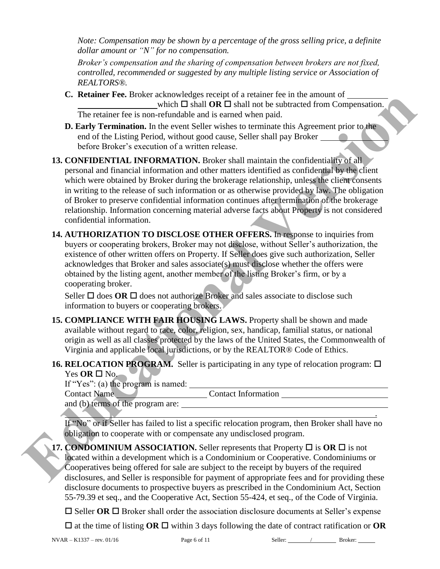*Note: Compensation may be shown by a percentage of the gross selling price, a definite dollar amount or "N" for no compensation.* 

*Broker's compensation and the sharing of compensation between brokers are not fixed, controlled, recommended or suggested by any multiple listing service or Association of REALTORS®.*

- **C. Retainer Fee.** Broker acknowledges receipt of a retainer fee in the amount of which  $\Box$  shall **OR**  $\Box$  shall not be subtracted from Compensation. The retainer fee is non-refundable and is earned when paid.
- **D. Early Termination.** In the event Seller wishes to terminate this Agreement prior to the end of the Listing Period, without good cause, Seller shall pay Broker before Broker's execution of a written release.

**13. CONFIDENTIAL INFORMATION.** Broker shall maintain the confidentiality of all personal and financial information and other matters identified as confidential by the client which were obtained by Broker during the brokerage relationship, unless the client consents in writing to the release of such information or as otherwise provided by law. The obligation of Broker to preserve confidential information continues after termination of the brokerage relationship. Information concerning material adverse facts about Property is not considered confidential information. **Examere ree, numerical system and complete and in earlier centre in the animal completestion.**<br> **Engine Foreign the event Schemel then** and the search when paid<br> **EDUCATION TO THE CONSULTS (SECT AND AND THE SCHEME TO THE** 

**14. AUTHORIZATION TO DISCLOSE OTHER OFFERS.** In response to inquiries from buyers or cooperating brokers, Broker may not disclose, without Seller's authorization, the existence of other written offers on Property. If Seller does give such authorization, Seller acknowledges that Broker and sales associate(s) must disclose whether the offers were obtained by the listing agent, another member of the listing Broker's firm, or by a cooperating broker.

Seller  $\Box$  does **OR**  $\Box$  does not authorize Broker and sales associate to disclose such information to buyers or cooperating brokers.

- **15. COMPLIANCE WITH FAIR HOUSING LAWS.** Property shall be shown and made available without regard to race, color, religion, sex, handicap, familial status, or national origin as well as all classes protected by the laws of the United States, the Commonwealth of Virginia and applicable local jurisdictions, or by the REALTOR® Code of Ethics.
- **16. RELOCATION PROGRAM.** Seller is participating in any type of relocation program:  $\Box$  $Yes$  OR  $\square$  No.

If "Yes": (a) the program is named:

| <b>Contact Name</b><br>Contact Information |  |
|--------------------------------------------|--|
|--------------------------------------------|--|

and (b) terms of the program are:

 . If "No" or if Seller has failed to list a specific relocation program, then Broker shall have no obligation to cooperate with or compensate any undisclosed program.

**17. CONDOMINIUM ASSOCIATION.** Seller represents that Property  $\Box$  is  $\overline{OR}$   $\Box$  is not located within a development which is a Condominium or Cooperative. Condominiums or Cooperatives being offered for sale are subject to the receipt by buyers of the required disclosures, and Seller is responsible for payment of appropriate fees and for providing these disclosure documents to prospective buyers as prescribed in the Condominium Act, Section 55-79.39 et seq., and the Cooperative Act, Section 55-424, et seq., of the Code of Virginia.

 $\Box$  Seller **OR**  $\Box$  Broker shall order the association disclosure documents at Seller's expense

 $\Box$  at the time of listing **OR**  $\Box$  within 3 days following the date of contract ratification or **OR**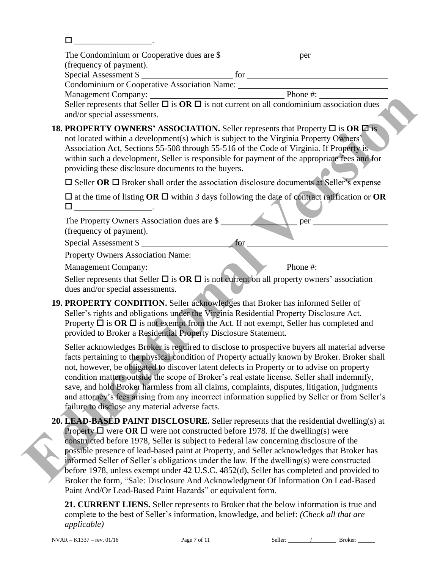| <u> 1990 - Jan Barbara Barat, p</u>                                                                                                                                                                                                                                                                                                                                                                                                                                                                                                                                                                                                                                          |
|------------------------------------------------------------------------------------------------------------------------------------------------------------------------------------------------------------------------------------------------------------------------------------------------------------------------------------------------------------------------------------------------------------------------------------------------------------------------------------------------------------------------------------------------------------------------------------------------------------------------------------------------------------------------------|
| The Condominium or Cooperative dues are \$<br>(frequency of payment).                                                                                                                                                                                                                                                                                                                                                                                                                                                                                                                                                                                                        |
| Special Assessment \$                                                                                                                                                                                                                                                                                                                                                                                                                                                                                                                                                                                                                                                        |
| Management Company: $\frac{\text{Phone #:}}{\text{Select repressents that Seller } \Box \text{ is OR } \Box \text{ is not current on all condominium association dues}}$<br>and/or special assessments.                                                                                                                                                                                                                                                                                                                                                                                                                                                                      |
| <b>18. PROPERTY OWNERS' ASSOCIATION.</b> Seller represents that Property $\Box$ is OR $\Box$ is<br>not located within a development(s) which is subject to the Virginia Property Owners'<br>Association Act, Sections 55-508 through 55-516 of the Code of Virginia. If Property is<br>within such a development, Seller is responsible for payment of the appropriate fees and for<br>providing these disclosure documents to the buyers.                                                                                                                                                                                                                                   |
| $\Box$ Seller OR $\Box$ Broker shall order the association disclosure documents at Seller's expense                                                                                                                                                                                                                                                                                                                                                                                                                                                                                                                                                                          |
| $\square$ at the time of listing OR $\square$ within 3 days following the date of contract ratification or OR                                                                                                                                                                                                                                                                                                                                                                                                                                                                                                                                                                |
| The Property Owners Association dues are \$<br>$per$ $per$<br>(frequency of payment).                                                                                                                                                                                                                                                                                                                                                                                                                                                                                                                                                                                        |
| Special Assessment \$                                                                                                                                                                                                                                                                                                                                                                                                                                                                                                                                                                                                                                                        |
| Property Owners Association Name: New York Change of the Change of the Change of the Change of the Change of the Change of the Change of the Change of the Change of the Change of the Change of the Change of the Change of t                                                                                                                                                                                                                                                                                                                                                                                                                                               |
| Management Company: Phone #: Phone #: Phone #: Seller represents that Seller $\square$ is $OR \square$ is not current on all property owners' association                                                                                                                                                                                                                                                                                                                                                                                                                                                                                                                    |
| dues and/or special assessments.                                                                                                                                                                                                                                                                                                                                                                                                                                                                                                                                                                                                                                             |
| 19. PROPERTY CONDITION. Seller acknowledges that Broker has informed Seller of<br>Seller's rights and obligations under the Virginia Residential Property Disclosure Act.<br>Property $\Box$ is $OR \Box$ is not exempt from the Act. If not exempt, Seller has completed and<br>provided to Broker a Residential Property Disclosure Statement.                                                                                                                                                                                                                                                                                                                             |
| Seller acknowledges Broker is required to disclose to prospective buyers all material adverse<br>facts pertaining to the physical condition of Property actually known by Broker. Broker shall<br>not, however, be obligated to discover latent defects in Property or to advise on property<br>condition matters outside the scope of Broker's real estate license. Seller shall indemnify,<br>save, and hold Broker harmless from all claims, complaints, disputes, litigation, judgments<br>and attorney's fees arising from any incorrect information supplied by Seller or from Seller's<br>failure to disclose any material adverse facts.                             |
| 20. LEAD-BASED PAINT DISCLOSURE. Seller represents that the residential dwelling(s) at<br><b>Property <math>\Box</math></b> were OR $\Box$ were not constructed before 1978. If the dwelling(s) were<br>constructed before 1978, Seller is subject to Federal law concerning disclosure of the<br>possible presence of lead-based paint at Property, and Seller acknowledges that Broker has<br>informed Seller of Seller's obligations under the law. If the dwelling(s) were constructed<br>before 1978, unless exempt under 42 U.S.C. 4852(d), Seller has completed and provided to<br>Broker the form, "Sale: Disclosure And Acknowledgment Of Information On Lead-Based |

**20. LEAD-BASED PAINT DISCLOSURE.** Seller represents that the residential dwelling(s) at **Property**  $\Box$  were **OR**  $\Box$  were not constructed before 1978. If the dwelling(s) were constructed before 1978, Seller is subject to Federal law concerning disclosure of the possible presence of lead-based paint at Property, and Seller acknowledges that Broker has informed Seller of Seller's obligations under the law. If the dwelling(s) were constructed before 1978, unless exempt under 42 U.S.C. 4852(d), Seller has completed and provided to Broker the form, "Sale: Disclosure And Acknowledgment Of Information On Lead-Based Paint And/Or Lead-Based Paint Hazards" or equivalent form.

**21. CURRENT LIENS.** Seller represents to Broker that the below information is true and complete to the best of Seller's information, knowledge, and belief: *(Check all that are applicable)*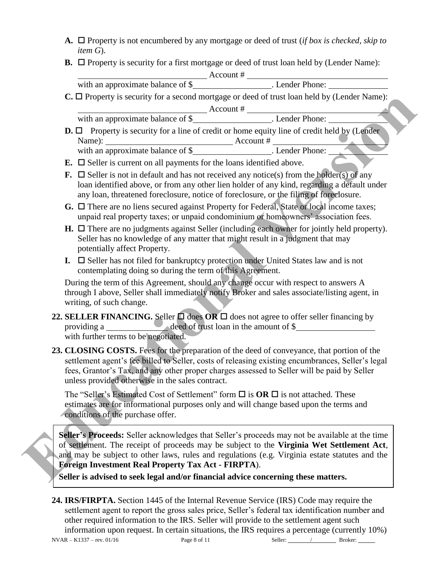- **A.** Property is not encumbered by any mortgage or deed of trust (*if box is checked, skip to item G*).
- **B.**  $\Box$  Property is security for a first mortgage or deed of trust loan held by (Lender Name):

|                                   | Account #                                                                                            |
|-----------------------------------|------------------------------------------------------------------------------------------------------|
| with an approximate balance of \$ | . Lender Phone:                                                                                      |
|                                   | $C$ . $\Box$ Property is security for a second mortgage or deed of trust loan held by (Lender Name): |

Account # with an approximate balance of  $\sqrt{s}$  . Lender Phone:

- **D.**  $\Box$  Property is security for a line of credit or home equity line of credit held by (Lender Name): Account # with an approximate balance of \$\_\_\_\_\_\_\_\_\_\_\_\_\_\_\_\_\_\_\_\_\_. Lender Phone:
- **E.**  $\Box$  Seller is current on all payments for the loans identified above.
- **F.**  $\Box$  Seller is not in default and has not received any notice(s) from the holder(s) of any loan identified above, or from any other lien holder of any kind, regarding a default under any loan, threatened foreclosure, notice of foreclosure, or the filing of foreclosure. ed of trust loan held by (Lender Name):<br>
<u>Depending</u><br>
Depending the of credit held by (Lender<br>
Dunt #<br>
<u>Cender Phone:</u><br>
Lender Phone:<br>
lentified above.<br>
notice(s) from the holder(s) of any<br>
r of any kind, regarding a defau
- **G.**  $\Box$  There are no liens secured against Property for Federal, State or local income taxes; unpaid real property taxes; or unpaid condominium or homeowners' association fees.
- $H. \Box$  There are no judgments against Seller (including each owner for jointly held property). Seller has no knowledge of any matter that might result in a judgment that may potentially affect Property.
- **I.**  $\Box$  Seller has not filed for bankruptcy protection under United States law and is not contemplating doing so during the term of this Agreement.

During the term of this Agreement, should any change occur with respect to answers A through I above, Seller shall immediately notify Broker and sales associate/listing agent, in writing, of such change.

- **22. SELLER FINANCING.** Seller  $\Box$  does **OR**  $\Box$  does not agree to offer seller financing by providing a deed of trust loan in the amount of \$ with further terms to be negotiated.
- 23. **CLOSING COSTS.** Fees for the preparation of the deed of conveyance, that portion of the settlement agent's fee billed to Seller, costs of releasing existing encumbrances, Seller's legal fees, Grantor's Tax, and any other proper charges assessed to Seller will be paid by Seller unless provided otherwise in the sales contract. Seller has no knowledge of any matter that might result in<br>
potentially affect Property.<br> **E.** CI Seller has not filed for bankruptcy protection under Uniontemplating doing so during the term of this Agreement<br>
During the

The "Seller's Estimated Cost of Settlement" form  $\Box$  is **OR**  $\Box$  is not attached. These estimates are for informational purposes only and will change based upon the terms and conditions of the purchase offer.

**Seller's Proceeds:** Seller acknowledges that Seller's proceeds may not be available at the time of settlement. The receipt of proceeds may be subject to the **Virginia Wet Settlement Act**, and may be subject to other laws, rules and regulations (e.g. Virginia estate statutes and the **Foreign Investment Real Property Tax Act - FIRPTA**).

**Seller is advised to seek legal and/or financial advice concerning these matters.**

NVAR – K1337 – rev. 01/16 Page 8 of 11 Seller: / Broker: Broker: 1990 Broker: 1990 Broker: 1990 Broker: 1990 Broker: 1990 Broker: 1990 Broker: 1990 Broker: 1990 Broker: 1990 Broker: 1990 Broker: 1990 Broker: 1990 Broker: 1 **24. IRS/FIRPTA.** Section 1445 of the Internal Revenue Service (IRS) Code may require the settlement agent to report the gross sales price, Seller's federal tax identification number and other required information to the IRS. Seller will provide to the settlement agent such information upon request. In certain situations, the IRS requires a percentage (currently 10%)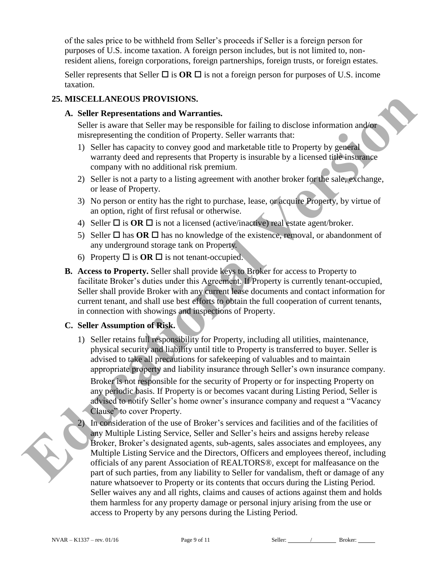of the sales price to be withheld from Seller's proceeds if Seller is a foreign person for purposes of U.S. income taxation. A foreign person includes, but is not limited to, nonresident aliens, foreign corporations, foreign partnerships, foreign trusts, or foreign estates.

Seller represents that Seller  $\Box$  is  $\overline{OR} \Box$  is not a foreign person for purposes of U.S. income taxation.

### **25. MISCELLANEOUS PROVISIONS.**

#### **A. Seller Representations and Warranties.**

Seller is aware that Seller may be responsible for failing to disclose information and/or misrepresenting the condition of Property. Seller warrants that:

- 1) Seller has capacity to convey good and marketable title to Property by general warranty deed and represents that Property is insurable by a licensed title insurance company with no additional risk premium.
- 2) Seller is not a party to a listing agreement with another broker for the sale, exchange, or lease of Property.
- 3) No person or entity has the right to purchase, lease, or acquire Property, by virtue of an option, right of first refusal or otherwise.
- 4) Seller  $\Box$  is **OR**  $\Box$  is not a licensed (active/inactive) real estate agent/broker.
- 5) Seller  $\Box$  has **OR**  $\Box$  has no knowledge of the existence, removal, or abandonment of any underground storage tank on Property.
- 6) Property  $\Box$  is **OR**  $\Box$  is not tenant-occupied.
- **B. Access to Property.** Seller shall provide keys to Broker for access to Property to facilitate Broker's duties under this Agreement. If Property is currently tenant-occupied, Seller shall provide Broker with any current lease documents and contact information for current tenant, and shall use best efforts to obtain the full cooperation of current tenants, in connection with showings and inspections of Property.

### **C. Seller Assumption of Risk.**

1) Seller retains full responsibility for Property, including all utilities, maintenance, physical security and liability until title to Property is transferred to buyer. Seller is advised to take all precautions for safekeeping of valuables and to maintain appropriate property and liability insurance through Seller's own insurance company.

Broker is not responsible for the security of Property or for inspecting Property on any periodic basis. If Property is or becomes vacant during Listing Period, Seller is advised to notify Seller's home owner's insurance company and request a "Vacancy Clause" to cover Property.

2) In consideration of the use of Broker's services and facilities and of the facilities of any Multiple Listing Service, Seller and Seller's heirs and assigns hereby release Broker, Broker's designated agents, sub-agents, sales associates and employees, any Multiple Listing Service and the Directors, Officers and employees thereof, including officials of any parent Association of REALTORS®, except for malfeasance on the part of such parties, from any liability to Seller for vandalism, theft or damage of any nature whatsoever to Property or its contents that occurs during the Listing Period. Seller waives any and all rights, claims and causes of actions against them and holds them harmless for any property damage or personal injury arising from the use or access to Property by any persons during the Listing Period. **ESCIENTIFINATIOUS PROVISIONS.**<br> **External Version and Version and Version and Version and Version and Version and Version and Version and Version and Version and Version and Version and Version and Version and Version and**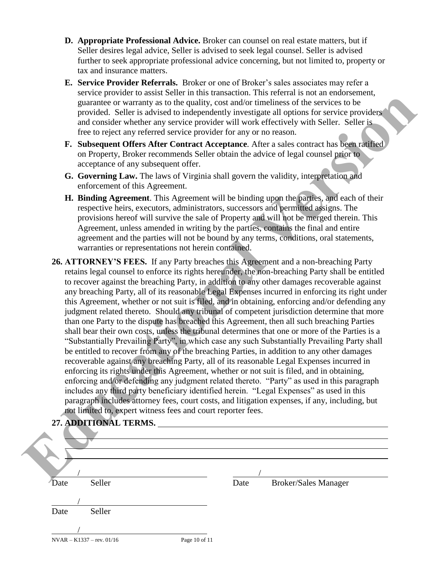- **D. Appropriate Professional Advice.** Broker can counsel on real estate matters, but if Seller desires legal advice, Seller is advised to seek legal counsel. Seller is advised further to seek appropriate professional advice concerning, but not limited to, property or tax and insurance matters.
- **E. Service Provider Referrals.** Broker or one of Broker's sales associates may refer a service provider to assist Seller in this transaction. This referral is not an endorsement, guarantee or warranty as to the quality, cost and/or timeliness of the services to be provided. Seller is advised to independently investigate all options for service providers and consider whether any service provider will work effectively with Seller. Seller is free to reject any referred service provider for any or no reason.
- **F. Subsequent Offers After Contract Acceptance**. After a sales contract has been ratified on Property, Broker recommends Seller obtain the advice of legal counsel prior to acceptance of any subsequent offer.
- **G. Governing Law.** The laws of Virginia shall govern the validity, interpretation and enforcement of this Agreement.
- **H. Binding Agreement**. This Agreement will be binding upon the parties, and each of their respective heirs, executors, administrators, successors and permitted assigns. The provisions hereof will survive the sale of Property and will not be merged therein. This Agreement, unless amended in writing by the parties, contains the final and entire agreement and the parties will not be bound by any terms, conditions, oral statements, warranties or representations not herein contained.
- **26. ATTORNEY'S FEES.** If any Party breaches this Agreement and a non-breaching Party retains legal counsel to enforce its rights hereunder, the non-breaching Party shall be entitled to recover against the breaching Party, in addition to any other damages recoverable against any breaching Party, all of its reasonable Legal Expenses incurred in enforcing its right under this Agreement, whether or not suit is filed, and in obtaining, enforcing and/or defending any judgment related thereto. Should any tribunal of competent jurisdiction determine that more than one Party to the dispute has breached this Agreement, then all such breaching Parties shall bear their own costs, unless the tribunal determines that one or more of the Parties is a "Substantially Prevailing Party", in which case any such Substantially Prevailing Party shall be entitled to recover from any of the breaching Parties, in addition to any other damages recoverable against any breaching Party, all of its reasonable Legal Expenses incurred in enforcing its rights under this Agreement, whether or not suit is filed, and in obtaining, enforcing and/or defending any judgment related thereto. "Party" as used in this paragraph includes any third party beneficiary identified herein. "Legal Expenses" as used in this paragraph includes attorney fees, court costs, and litigation expenses, if any, including, but not limited to, expert witness fees and court reporter fees. **27. ADDITIONAL TERMS.** parameter or warranty as to the quality, cost under timelines of the services to be<br> **Equivalent Solution** and consider the service provider in the service provider. Seller is advised to independently inversigate all optio

| 27. ADDITIONAL TERMS.       |               |      |                             |  |
|-----------------------------|---------------|------|-----------------------------|--|
|                             |               |      |                             |  |
|                             |               |      |                             |  |
|                             |               |      |                             |  |
| Seller<br>Date              |               | Date | <b>Broker/Sales Manager</b> |  |
|                             |               |      |                             |  |
| Seller<br>Date              |               |      |                             |  |
|                             |               |      |                             |  |
| $NVAR - K1337 - rev. 01/16$ | Page 10 of 11 |      |                             |  |